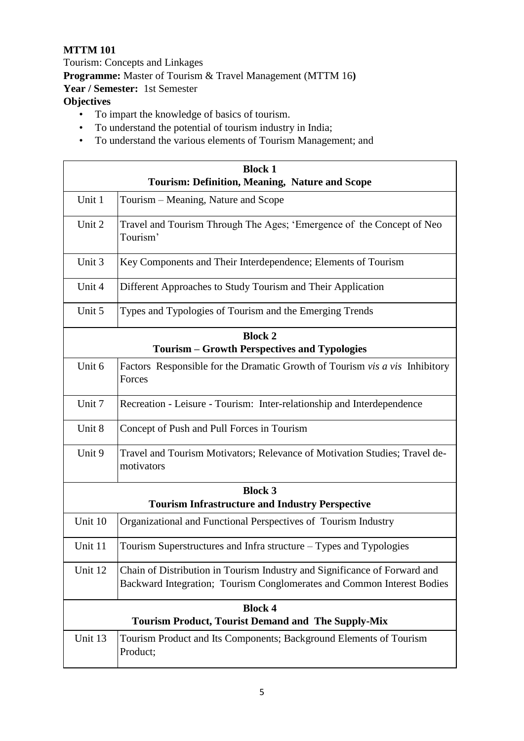## **MTTM 101**

Tourism: Concepts and Linkages **Programme:** Master of Tourism & Travel Management (MTTM 16**) Year / Semester:** 1st Semester **Objectives** 

- To impart the knowledge of basics of tourism.
- To understand the potential of tourism industry in India;
- To understand the various elements of Tourism Management; and

| <b>Block 1</b>                                            |                                                                                                                                                     |  |  |  |
|-----------------------------------------------------------|-----------------------------------------------------------------------------------------------------------------------------------------------------|--|--|--|
| <b>Tourism: Definition, Meaning, Nature and Scope</b>     |                                                                                                                                                     |  |  |  |
| Unit 1                                                    | Tourism – Meaning, Nature and Scope                                                                                                                 |  |  |  |
| Unit 2                                                    | Travel and Tourism Through The Ages; 'Emergence of the Concept of Neo<br>Tourism'                                                                   |  |  |  |
| Unit 3                                                    | Key Components and Their Interdependence; Elements of Tourism                                                                                       |  |  |  |
| Unit 4                                                    | Different Approaches to Study Tourism and Their Application                                                                                         |  |  |  |
| Unit 5                                                    | Types and Typologies of Tourism and the Emerging Trends                                                                                             |  |  |  |
|                                                           | <b>Block 2</b>                                                                                                                                      |  |  |  |
| <b>Tourism - Growth Perspectives and Typologies</b>       |                                                                                                                                                     |  |  |  |
| Unit 6                                                    | Factors Responsible for the Dramatic Growth of Tourism vis a vis Inhibitory<br>Forces                                                               |  |  |  |
| Unit 7                                                    | Recreation - Leisure - Tourism: Inter-relationship and Interdependence                                                                              |  |  |  |
| Unit 8                                                    | Concept of Push and Pull Forces in Tourism                                                                                                          |  |  |  |
| Unit 9                                                    | Travel and Tourism Motivators; Relevance of Motivation Studies; Travel de-<br>motivators                                                            |  |  |  |
| <b>Block 3</b>                                            |                                                                                                                                                     |  |  |  |
|                                                           | <b>Tourism Infrastructure and Industry Perspective</b>                                                                                              |  |  |  |
| Unit 10                                                   | Organizational and Functional Perspectives of Tourism Industry                                                                                      |  |  |  |
| Unit 11                                                   | Tourism Superstructures and Infra structure – Types and Typologies                                                                                  |  |  |  |
| Unit 12                                                   | Chain of Distribution in Tourism Industry and Significance of Forward and<br>Backward Integration; Tourism Conglomerates and Common Interest Bodies |  |  |  |
| <b>Block 4</b>                                            |                                                                                                                                                     |  |  |  |
| <b>Tourism Product, Tourist Demand and The Supply-Mix</b> |                                                                                                                                                     |  |  |  |
| Unit 13                                                   | Tourism Product and Its Components; Background Elements of Tourism<br>Product;                                                                      |  |  |  |